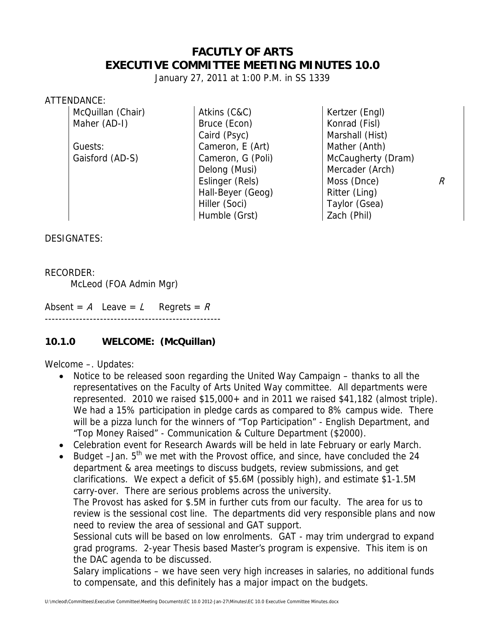## **FACUTLY OF ARTS EXECUTIVE COMMITTEE MEETING MINUTES 10.0**

January 27, 2011 at 1:00 P.M. in SS 1339

#### ATTENDANCE:

McQuillan (Chair) | Atkins (C&C) | Kertzer (Engl) Maher (AD-I) Bruce (Econ) Research Research Research Research Research Research Research Research Research Res Caird (Psyc) Marshall (Hist) Guests: Cameron, E (Art) (Cameron, E (Art) Mather (Anth) Delong (Musi) Mercader (Arch) Hall-Beyer (Geog) Ritter (Ling) Hiller (Soci) Taylor (Gsea) Humble (Grst) 2ach (Phil)

Gaisford (AD-S) Cameron, G (Poli) McCaugherty (Dram) Eslinger (Rels)  $\vert$  Moss (Dnce)  $\vert$  R

DESIGNATES:

#### RECORDER:

McLeod (FOA Admin Mgr)

Absent = A Leave = L Regrets =  $R$ ---------------------------------------------------

### **10.1.0 WELCOME: (McQuillan)**

Welcome –. Updates:

- Notice to be released soon regarding the United Way Campaign thanks to all the representatives on the Faculty of Arts United Way committee. All departments were represented. 2010 we raised \$15,000+ and in 2011 we raised \$41,182 (almost triple). We had a 15% participation in pledge cards as compared to 8% campus wide. There will be a pizza lunch for the winners of "Top Participation" - English Department, and "Top Money Raised" - Communication & Culture Department (\$2000).
- Celebration event for Research Awards will be held in late February or early March.
- Budget  $-Jan. 5<sup>th</sup>$  we met with the Provost office, and since, have concluded the 24 department & area meetings to discuss budgets, review submissions, and get clarifications. We expect a deficit of \$5.6M (possibly high), and estimate \$1-1.5M carry-over. There are serious problems across the university. The Provost has asked for \$.5M in further cuts from our faculty. The area for us to review is the sessional cost line. The departments did very responsible plans and now need to review the area of sessional and GAT support. Sessional cuts will be based on low enrolments. GAT - may trim undergrad to expand grad programs. 2-year Thesis based Master's program is expensive. This item is on the DAC agenda to be discussed.

Salary implications – we have seen very high increases in salaries, no additional funds to compensate, and this definitely has a major impact on the budgets.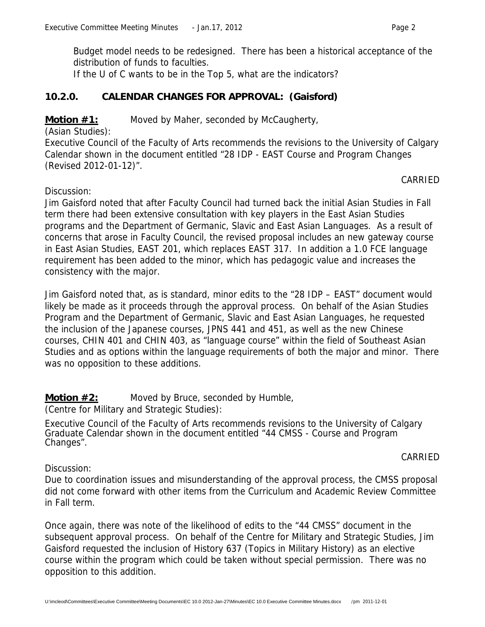Budget model needs to be redesigned. There has been a historical acceptance of the distribution of funds to faculties.

If the U of C wants to be in the Top 5, what are the indicators?

### **10.2.0. CALENDAR CHANGES FOR APPROVAL: (Gaisford)**

### **Motion #1:** Moved by Maher, seconded by McCaugherty,

(Asian Studies):

Discussion:

Executive Council of the Faculty of Arts recommends the revisions to the University of Calgary Calendar shown in the document entitled "28 IDP - EAST Course and Program Changes (Revised 2012-01-12)".

CARRIED

Jim Gaisford noted that after Faculty Council had turned back the initial Asian Studies in Fall term there had been extensive consultation with key players in the East Asian Studies programs and the Department of Germanic, Slavic and East Asian Languages. As a result of concerns that arose in Faculty Council, the revised proposal includes an new gateway course in East Asian Studies, EAST 201, which replaces EAST 317. In addition a 1.0 FCE language requirement has been added to the minor, which has pedagogic value and increases the consistency with the major.

Jim Gaisford noted that, as is standard, minor edits to the "28 IDP – EAST" document would likely be made as it proceeds through the approval process. On behalf of the Asian Studies Program and the Department of Germanic, Slavic and East Asian Languages, he requested the inclusion of the Japanese courses, JPNS 441 and 451, as well as the new Chinese courses, CHIN 401 and CHIN 403, as "language course" within the field of Southeast Asian Studies and as options within the language requirements of both the major and minor. There was no opposition to these additions.

**Motion #2:** Moved by Bruce, seconded by Humble,

(Centre for Military and Strategic Studies):

Executive Council of the Faculty of Arts recommends revisions to the University of Calgary Graduate Calendar shown in the document entitled "44 CMSS - Course and Program Changes".

CARRIED

Discussion:

Due to coordination issues and misunderstanding of the approval process, the CMSS proposal did not come forward with other items from the Curriculum and Academic Review Committee in Fall term.

Once again, there was note of the likelihood of edits to the "44 CMSS" document in the subsequent approval process. On behalf of the Centre for Military and Strategic Studies, Jim Gaisford requested the inclusion of History 637 (Topics in Military History) as an elective course within the program which could be taken without special permission. There was no opposition to this addition.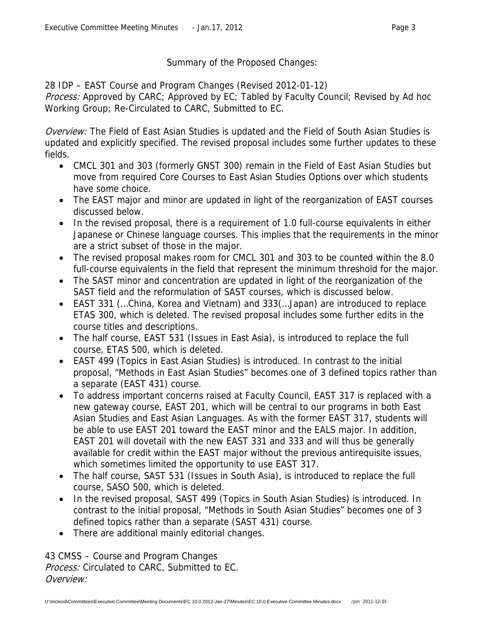### Summary of the Proposed Changes:

28 IDP – EAST Course and Program Changes (Revised 2012-01-12)

Process: Approved by CARC; Approved by EC; Tabled by Faculty Council; Revised by Ad hoc Working Group; Re-Circulated to CARC, Submitted to EC.

Overview: The Field of East Asian Studies is updated and the Field of South Asian Studies is updated and explicitly specified. The revised proposal includes some further updates to these fields.

- CMCL 301 and 303 (formerly GNST 300) remain in the Field of East Asian Studies but move from required Core Courses to East Asian Studies Options over which students have some choice.
- The EAST major and minor are updated in light of the reorganization of EAST courses discussed below.
- In the revised proposal, there is a requirement of 1.0 full-course equivalents in either Japanese or Chinese language courses. This implies that the requirements in the minor are a strict subset of those in the major.
- The revised proposal makes room for CMCL 301 and 303 to be counted within the 8.0 full-course equivalents in the field that represent the minimum threshold for the major.
- The SAST minor and concentration are updated in light of the reorganization of the SAST field and the reformulation of SAST courses, which is discussed below.
- EAST 331 (…China, Korea and Vietnam) and 333(…Japan) are introduced to replace ETAS 300, which is deleted. The revised proposal includes some further edits in the course titles and descriptions.
- The half course, EAST 531 (Issues in East Asia), is introduced to replace the full course, ETAS 500, which is deleted.
- EAST 499 (Topics in East Asian Studies) is introduced. In contrast to the initial proposal, "Methods in East Asian Studies" becomes one of 3 defined topics rather than a separate (EAST 431) course.
- To address important concerns raised at Faculty Council, EAST 317 is replaced with a new gateway course, EAST 201, which will be central to our programs in both East Asian Studies and East Asian Languages. As with the former EAST 317, students will be able to use EAST 201 toward the EAST minor and the EALS major. In addition, EAST 201 will dovetail with the new EAST 331 and 333 and will thus be generally available for credit within the EAST major without the previous antirequisite issues, which sometimes limited the opportunity to use EAST 317.
- The half course, SAST 531 (Issues in South Asia), is introduced to replace the full course, SASO 500, which is deleted.
- In the revised proposal, SAST 499 (Topics in South Asian Studies) is introduced. In contrast to the initial proposal, "Methods in South Asian Studies" becomes one of 3 defined topics rather than a separate (SAST 431) course.
- There are additional mainly editorial changes.

43 CMSS – Course and Program Changes Process: Circulated to CARC, Submitted to EC. Overview: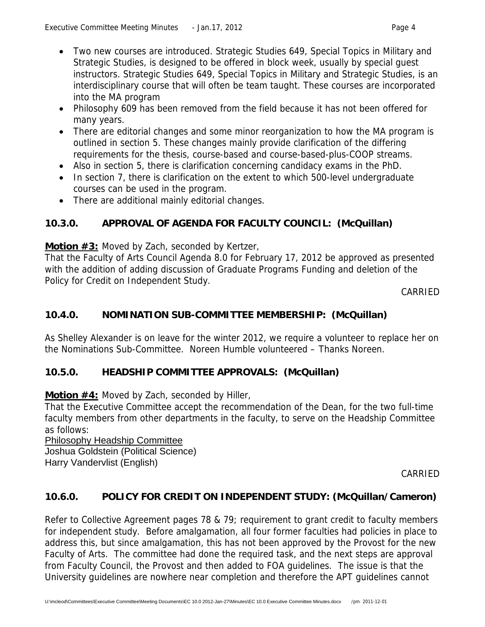- Two new courses are introduced. Strategic Studies 649, Special Topics in Military and Strategic Studies, is designed to be offered in block week, usually by special guest instructors. Strategic Studies 649, Special Topics in Military and Strategic Studies, is an
- interdisciplinary course that will often be team taught. These courses are incorporated into the MA program
- Philosophy 609 has been removed from the field because it has not been offered for many years.
- There are editorial changes and some minor reorganization to how the MA program is outlined in section 5. These changes mainly provide clarification of the differing requirements for the thesis, course-based and course-based-plus-COOP streams.
- Also in section 5, there is clarification concerning candidacy exams in the PhD.
- In section 7, there is clarification on the extent to which 500-level undergraduate courses can be used in the program.
- There are additional mainly editorial changes.

# **10.3.0. APPROVAL OF AGENDA FOR FACULTY COUNCIL: (McQuillan)**

### **Motion #3:** Moved by Zach, seconded by Kertzer,

That the Faculty of Arts Council Agenda 8.0 for February 17, 2012 be approved as presented with the addition of adding discussion of Graduate Programs Funding and deletion of the Policy for Credit on Independent Study.

CARRIED

# **10.4.0. NOMINATION SUB-COMMITTEE MEMBERSHIP: (McQuillan)**

As Shelley Alexander is on leave for the winter 2012, we require a volunteer to replace her on the Nominations Sub-Committee. Noreen Humble volunteered – Thanks Noreen.

# **10.5.0. HEADSHIP COMMITTEE APPROVALS: (McQuillan)**

## **Motion #4:** Moved by Zach, seconded by Hiller,

That the Executive Committee accept the recommendation of the Dean, for the two full-time faculty members from other departments in the faculty, to serve on the Headship Committee as follows:

Philosophy Headship Committee Joshua Goldstein (Political Science) Harry Vandervlist (English)

CARRIED

## **10.6.0. POLICY FOR CREDIT ON INDEPENDENT STUDY: (McQuillan/Cameron)**

Refer to Collective Agreement pages 78 & 79; requirement to grant credit to faculty members for independent study. Before amalgamation, all four former faculties had policies in place to address this, but since amalgamation, this has not been approved by the Provost for the new Faculty of Arts. The committee had done the required task, and the next steps are approval from Faculty Council, the Provost and then added to FOA guidelines. The issue is that the University guidelines are nowhere near completion and therefore the APT guidelines cannot